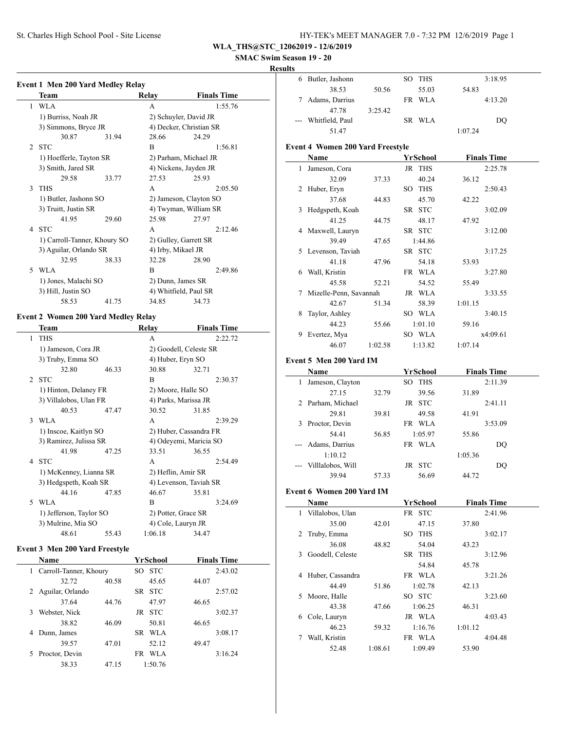St. Charles High School Pool - Site License

| HY-TEK's MEET MANAGER 7.0 - 7:32 PM 12/6/2019 Page 1 |  |
|------------------------------------------------------|--|
|------------------------------------------------------|--|

**WLA\_THS@STC\_12062019 - 12/6/2019**

### **SMAC Swim Season 19 - 20**

#### **Results**

|                | Team                         |       | Relay                  | <b>Finals Time</b>      |  |  |
|----------------|------------------------------|-------|------------------------|-------------------------|--|--|
| 1              | <b>WLA</b>                   |       | $\mathsf{A}$           | 1:55.76                 |  |  |
|                | 1) Burriss, Noah JR          |       |                        | 2) Schuyler, David JR   |  |  |
|                | 3) Simmons, Bryce JR         |       |                        | 4) Decker, Christian SR |  |  |
|                | 30.87                        | 31.94 | 28.66                  | 24.29                   |  |  |
| $\mathfrak{D}$ | <b>STC</b>                   |       | B                      | 1:56.81                 |  |  |
|                | 1) Hoefferle, Tayton SR      |       |                        | 2) Parham, Michael JR   |  |  |
|                | 3) Smith, Jared SR           |       |                        | 4) Nickens, Jayden JR   |  |  |
|                | 29.58                        | 33.77 | 27.53                  | 25.93                   |  |  |
| $\mathcal{F}$  | <b>THS</b>                   |       | A                      | 2:05.50                 |  |  |
|                | 1) Butler, Jashonn SO        |       | 2) Jameson, Clayton SO |                         |  |  |
|                | 3) Truitt, Justin SR         |       |                        | 4) Twyman, William SR   |  |  |
|                | 41.95                        | 29.60 | 25.98                  | 27.97                   |  |  |
|                | 4 STC                        |       | A                      | 2:12.46                 |  |  |
|                | 1) Carroll-Tanner, Khoury SO |       | 2) Gulley, Garrett SR  |                         |  |  |
|                | 3) Aguilar, Orlando SR       |       | 4) Irby, Mikael JR     |                         |  |  |
|                | 32.95                        | 38.33 | 32.28                  | 28.90                   |  |  |
| 5              | WLA                          |       | B                      | 2:49.86                 |  |  |
|                | 1) Jones, Malachi SO         |       | 2) Dunn, James SR      |                         |  |  |
|                | 3) Hill, Justin SO           |       |                        | 4) Whitfield, Paul SR   |  |  |
|                | 58.53                        | 41.75 | 34.85                  | 34.73                   |  |  |

#### **Event 2 Women 200 Yard Medley Relay**

|                | Team                    |       | Relay                  | <b>Finals Time</b> |
|----------------|-------------------------|-------|------------------------|--------------------|
| 1              | <b>THS</b>              |       | A                      | 2:22.72            |
|                | 1) Jameson, Cora JR     |       | 2) Goodell, Celeste SR |                    |
|                | 3) Truby, Emma SO       |       | 4) Huber, Eryn SO      |                    |
|                | 32.80                   | 46.33 | 30.88                  | 32.71              |
| $\mathfrak{D}$ | <b>STC</b>              |       | R                      | 2:30.37            |
|                | 1) Hinton, Delaney FR   |       | 2) Moore, Halle SO     |                    |
|                | 3) Villalobos, Ulan FR  |       | 4) Parks, Marissa JR   |                    |
|                | 40.53                   | 47.47 | 30.52                  | 31.85              |
| 3              | WLA                     |       | A                      | 2:39.29            |
|                | 1) Inscoe, Kaitlyn SO   |       | 2) Huber, Cassandra FR |                    |
|                | 3) Ramirez, Julissa SR  |       | 4) Odeyemi, Maricia SO |                    |
|                | 41.98                   | 47.25 | 33.51                  | 36.55              |
| 4              | <b>STC</b>              |       | A                      | 2:54.49            |
|                | 1) McKenney, Lianna SR  |       | 2) Heflin, Amir SR     |                    |
|                | 3) Hedgspeth, Koah SR   |       | 4) Levenson, Taviah SR |                    |
|                | 44 16                   | 47.85 | 46.67                  | 35.81              |
| 5              | <b>WLA</b>              |       | R                      | 3:24.69            |
|                | 1) Jefferson, Taylor SO |       | 2) Potter, Grace SR    |                    |
|                | 3) Mulrine, Mia SO      |       | 4) Cole, Lauryn JR     |                    |
|                | 48.61                   | 55.43 | 1:06.18                | 34.47              |

#### **Event 3 Men 200 Yard Freestyle**

|   | <b>Name</b>            |       |     | YrSchool   |       | <b>Finals Time</b> |  |
|---|------------------------|-------|-----|------------|-------|--------------------|--|
| 1 | Carroll-Tanner, Khoury |       | SO. | <b>STC</b> |       | 2:43.02            |  |
|   | 32.72                  | 40.58 |     | 45.65      | 44.07 |                    |  |
| 2 | Aguilar, Orlando       |       | SR. | -STC       |       | 2:57.02            |  |
|   | 37.64                  | 44.76 |     | 47.97      | 46.65 |                    |  |
| 3 | Webster, Nick          |       | JR. | -STC       |       | 3:02.37            |  |
|   | 38.82                  | 46.09 |     | 50.81      | 46.65 |                    |  |
| 4 | Dunn, James            |       | SR. | WLA        |       | 3:08.17            |  |
|   | 39.57                  | 47.01 |     | 52.12      | 49.47 |                    |  |
| 5 | Proctor, Devin         |       | FR. | WLA        |       | 3:16.24            |  |
|   | 38.33                  | 47.15 |     | 1:50.76    |       |                    |  |

|              | 6 Butler, Jashonn                       |         | SO THS            |         | 3:18.95            |
|--------------|-----------------------------------------|---------|-------------------|---------|--------------------|
|              | 38.53                                   | 50.56   | 55.03             | 54.83   |                    |
|              | 7 Adams, Darrius                        |         | FR WLA            |         | 4:13.20            |
|              | 47.78                                   | 3:25.42 |                   |         |                    |
|              | Whitfield, Paul                         |         | SR WLA            |         | <b>DQ</b>          |
|              | 51.47                                   |         |                   | 1:07.24 |                    |
|              | <b>Event 4 Women 200 Yard Freestyle</b> |         |                   |         |                    |
|              | Name                                    |         | <b>YrSchool</b>   |         | <b>Finals Time</b> |
| $\mathbf{1}$ | Jameson, Cora                           |         | JR THS            |         | 2:25.78            |
|              | 32.09                                   | 37.33   | 40.24             | 36.12   |                    |
| 2            | Huber, Eryn                             |         | SO THS            |         | 2:50.43            |
|              | 37.68                                   | 44.83   | 45.70             | 42.22   |                    |
| 3            | Hedgspeth, Koah                         |         | SR STC            |         | 3:02.09            |
|              | 41.25                                   | 44.75   | 48.17             | 47.92   |                    |
|              | 4 Maxwell, Lauryn                       |         | SR STC            |         | 3:12.00            |
|              | 39.49                                   | 47.65   | 1:44.86           |         |                    |
|              |                                         |         | SR STC            |         |                    |
|              | 5 Levenson, Taviah<br>41.18             | 47.96   | 54.18             | 53.93   | 3:17.25            |
|              | 6 Wall, Kristin                         |         |                   |         |                    |
|              | 45.58                                   | 52.21   | FR WLA<br>54.52   | 55.49   | 3:27.80            |
|              |                                         |         |                   |         |                    |
| 7            | Mizelle-Penn, Savannah<br>42.67         |         | JR WLA            |         | 3:33.55            |
|              |                                         | 51.34   | 58.39             | 1:01.15 |                    |
| 8            | Taylor, Ashley<br>44.23                 |         | SO WLA            |         | 3:40.15            |
|              |                                         | 55.66   | 1:01.10           | 59.16   |                    |
| 9.           | Evertez, Mya                            |         | SO WLA            |         | x4:09.61           |
|              | 46.07                                   | 1:02.58 | 1:13.82           | 1:07.14 |                    |
|              |                                         |         |                   |         |                    |
|              | Event 5 Men 200 Yard IM                 |         |                   |         |                    |
|              | Name                                    |         | <b>YrSchool</b>   |         | <b>Finals Time</b> |
| $\mathbf{1}$ | Jameson, Clayton                        |         | SO THS            |         | 2:11.39            |
|              | 27.15                                   | 32.79   | 39.56             | 31.89   |                    |
|              | 2 Parham, Michael                       |         | JR STC            |         | 2:41.11            |
|              | 29.81                                   | 39.81   | 49.58             | 41.91   |                    |
| 3            | Proctor, Devin                          |         | FR WLA            |         | 3:53.09            |
|              | 54.41                                   | 56.85   | 1:05.97           | 55.86   |                    |
|              | Adams, Darrius                          |         | FR WLA            |         | DQ                 |
|              | 1:10.12                                 |         |                   | 1:05.36 |                    |
|              | Villlalobos, Will                       |         | JR STC            |         | DQ                 |
|              | 39.94                                   | 57.33   | 56.69             | 44.72   |                    |
|              |                                         |         |                   |         |                    |
|              | <b>Event 6 Women 200 Yard IM</b>        |         |                   |         |                    |
|              | <b>Name</b>                             |         | <b>YrSchool</b>   |         | <b>Finals Time</b> |
|              | 1 Villalobos, Ulan                      |         | FR STC            |         | 2:41.96            |
|              | 35.00                                   | 42.01   | 47.15             | 37.80   |                    |
| 2            | Truby, Emma                             |         | SO THS            |         | 3:02.17            |
|              | 36.08                                   | 48.82   | 54.04             | 43.23   |                    |
| 3            | Goodell, Celeste                        |         | SR THS            |         | 3:12.96            |
|              |                                         |         | 54.84             | 45.78   |                    |
| 4            | Huber, Cassandra                        |         | FR WLA            |         | 3:21.26            |
|              | 44.49                                   | 51.86   | 1:02.78           | 42.13   |                    |
| 5            | Moore, Halle                            |         | SO STC            |         | 3:23.60            |
|              | 43.38                                   | 47.66   | 1:06.25           | 46.31   |                    |
| 6            | Cole, Lauryn                            |         | JR WLA            |         | 4:03.43            |
| 7            | 46.23<br>Wall, Kristin                  | 59.32   | 1:16.76<br>FR WLA | 1:01.12 | 4:04.48            |

52.48 1:08.61 1:09.49 53.90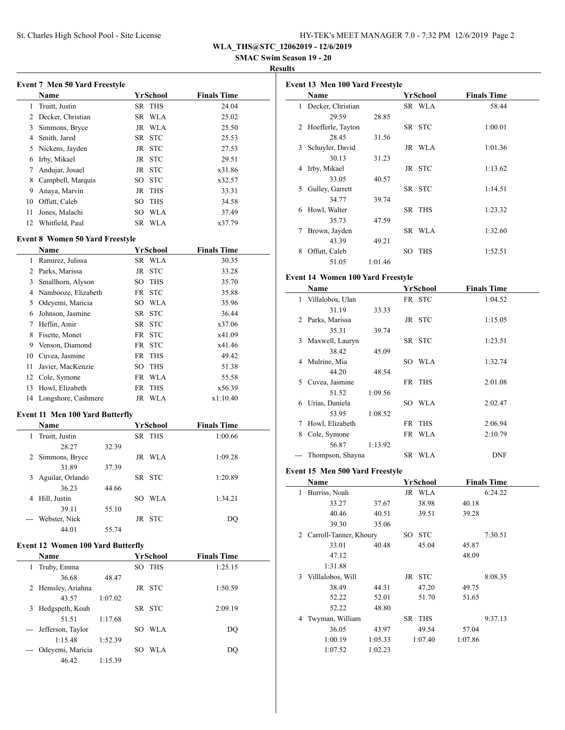| HY-TEK's MEET MANAGER 7.0 - 7:32 PM 12/6/2019 Page 2 |  |  |  |  |
|------------------------------------------------------|--|--|--|--|
|------------------------------------------------------|--|--|--|--|

**WLA\_THS@STC\_12062019 - 12/6/2019**

 **SMAC Swim Season 19 - 20**

**Results**

|    | <b>Event 7 Men 50 Yard Freestyle</b>   |     |            |                    |
|----|----------------------------------------|-----|------------|--------------------|
|    | Name                                   |     | YrSchool   | <b>Finals Time</b> |
| 1  | Truitt, Justin                         |     | SR THS     | 24.04              |
| 2  | Decker, Christian                      |     | SR WLA     | 25.02              |
| 3  | Simmons, Bryce                         |     | JR WLA     | 25.50              |
| 4  | Smith, Jared                           |     | SR STC     | 25.53              |
| 5  | Nickens, Jayden                        |     | JR STC     | 27.53              |
| 6  | Irby, Mikael                           |     | JR STC     | 29.51              |
| 7  | Andujar, Josael                        |     | JR STC     | x31.86             |
| 8  | Campbell, Marquis                      |     | SO STC     | x32.57             |
| 9  | Anaya, Marvin                          |     | JR THS     | 33.31              |
| 10 | Offutt, Caleb                          | SO. | <b>THS</b> | 34.58              |
| 11 | Jones, Malachi                         | SO. | WLA        | 37.49              |
| 12 | Whitfield, Paul                        |     | SR WLA     | x37.79             |
|    | <b>Event 8 Women 50 Yard Freestyle</b> |     |            |                    |
|    | Name                                   |     | YrSchool   | <b>Finals Time</b> |
| 1  | Ramirez, Julissa                       |     | SR WLA     | 30.35              |

|    | 2 Parks, Marissa      | JR STC | 33.28    |  |
|----|-----------------------|--------|----------|--|
| 3  | Smallhorn, Alyson     | SO THS | 35.70    |  |
|    | 4 Nambooze, Elizabeth | FR STC | 35.88    |  |
| 5. | Odeyemi, Maricia      | SO WLA | 35.96    |  |
| 6  | Johnson, Jasmine      | SR STC | 36.44    |  |
| 7  | Heflin, Amir          | SR STC | x37.06   |  |
| 8  | Fisette, Monet        | FR STC | x41.09   |  |
| 9  | Venson, Diamond       | FR STC | x41.46   |  |
| 10 | Cuvea, Jasmine        | FR THS | 49.42    |  |
| 11 | Javier, MacKenzie     | SO THS | 51.38    |  |
|    | 12 Cole, Symone       | FR WLA | 55.58    |  |
| 13 | Howl, Elizabeth       | FR THS | x56.39   |  |
| 14 | Longshore, Cashmere   | JR WLA | x1:10.40 |  |
|    |                       |        |          |  |

# **Event 11 Men 100 Yard Butterfly**

|   | <b>Name</b>      |       | YrSchool   | <b>Finals Time</b> |
|---|------------------|-------|------------|--------------------|
| 1 | Truitt, Justin   |       | SR THS     | 1:00.66            |
|   | 28.27            | 32.39 |            |                    |
|   | 2 Simmons, Bryce |       | JR WLA     | 1:09.28            |
|   | 31.89            | 37.39 |            |                    |
| 3 | Aguilar, Orlando |       | SR STC     | 1:20.89            |
|   | 36.23            | 44.66 |            |                    |
| 4 | Hill, Justin     |       | WLA<br>SO. | 1:34.21            |
|   | 39.11            | 55.10 |            |                    |
|   | Webster, Nick    |       | JR STC     | DO                 |
|   | 44.01            | 55.74 |            |                    |

## **Event 12 Women 100 Yard Butterfly**

| <b>Name</b>           |         | YrSchool          | <b>Finals Time</b> |  |
|-----------------------|---------|-------------------|--------------------|--|
| Truby, Emma<br>1      |         | SO THS            | 1:25.15            |  |
| 36.68                 | 48.47   |                   |                    |  |
| 2 Hemsley, Ariahna    |         | JR STC            | 1:50.59            |  |
| 43.57                 | 1:07.02 |                   |                    |  |
| Hedgspeth, Koah<br>3  |         | SR STC            | 2:09.19            |  |
| 51.51                 | 1:17.68 |                   |                    |  |
| --- Jefferson, Taylor |         | <b>WLA</b><br>SO. | DO                 |  |
| 1:15.48               | 1:52.39 |                   |                    |  |
| Odeyemi, Maricia      |         | WLA<br>SO         | DO                 |  |
| 46.42                 | 1:15.39 |                   |                    |  |

| Event 13 Men 100 Yard Freestyle |                     |         |    |            |                    |
|---------------------------------|---------------------|---------|----|------------|--------------------|
|                                 | Name                |         |    | YrSchool   | <b>Finals Time</b> |
| 1                               | Decker, Christian   |         |    | SR WLA     | 58.44              |
|                                 | 29.59               | 28.85   |    |            |                    |
|                                 | 2 Hoefferle, Tayton |         |    | SR STC     | 1:00.01            |
|                                 | 28.45               | 31.56   |    |            |                    |
| 3                               | Schuyler, David     |         |    | JR WLA     | 1:01.36            |
|                                 | 30.13               | 31.23   |    |            |                    |
| 4                               | Irby, Mikael        |         |    | JR STC     | 1:13.62            |
|                                 | 33.05               | 40.57   |    |            |                    |
| 5                               | Gulley, Garrett     |         |    | SR STC     | 1:14.51            |
|                                 | 34.77               | 39.74   |    |            |                    |
| 6                               | Howl, Walter        |         |    | SR THS     | 1:23.32            |
|                                 | 35.73               | 47.59   |    |            |                    |
| 7                               | Brown, Jayden       |         |    | SR WLA     | 1:32.60            |
|                                 | 43.39               | 49.21   |    |            |                    |
| 8                               | Offutt, Caleb       |         | SO | <b>THS</b> | 1:52.51            |
|                                 | 51.05               | 1:01.46 |    |            |                    |

## **Event 14 Women 100 Yard Freestyle**

|    | Name                                             |         | YrSchool | <b>Finals Time</b> |
|----|--------------------------------------------------|---------|----------|--------------------|
|    | 1 Villalobos, Ulan                               |         | FR STC   | 1:04.52            |
|    | 31.19                                            | 33.33   |          |                    |
|    | 2 Parks, Marissa                                 |         | JR STC   | 1:15.05            |
|    | 35.31                                            | 39.74   |          |                    |
| 3  | Maxwell, Lauryn                                  |         | SR STC   | 1:23.51            |
|    | 38.42                                            | 45.09   |          |                    |
|    | 4 Mulrine, Mia                                   |         | SO WLA   | 1:32.74            |
|    | 44.20                                            | 48.54   |          |                    |
| 5. | Cuvea, Jasmine                                   |         | FR THS   | 2:01.08            |
|    | 51.52                                            | 1:09.56 |          |                    |
|    | 6 Urias, Daniela                                 |         | SO WLA   | 2:02.47            |
|    | 53.95                                            | 1:08.52 |          |                    |
| 7  | Howl, Elizabeth                                  |         | FR THS   | 2:06.94            |
| 8  | Cole, Symone                                     |         | FR WLA   | 2:10.79            |
|    | 56.87                                            | 1:13.92 |          |                    |
|    | Thompson, Shayna                                 |         | SR WLA   | <b>DNF</b>         |
|    | $E$ vont $15$ , Mon $500$ Vond $\bf E$ moostylo. |         |          |                    |

#### **Event 15 Men 500 Yard Freestyle**

|              | Name                     |         |     | YrSchool   |         | <b>Finals Time</b> |
|--------------|--------------------------|---------|-----|------------|---------|--------------------|
| $\mathbf{1}$ | Burriss, Noah            |         |     | JR WLA     |         | 6:24.22            |
|              | 33.27                    | 37.67   |     | 38.98      | 40.18   |                    |
|              | 40.46                    | 40.51   |     | 39.51      | 39.28   |                    |
|              | 39.30                    | 35.06   |     |            |         |                    |
|              | 2 Carroll-Tanner, Khoury |         | SO. | <b>STC</b> |         | 7:30.51            |
|              | 33.01                    | 40.48   |     | 45.04      | 45.87   |                    |
|              | 47.12                    |         |     |            | 48.09   |                    |
|              | 1:31.88                  |         |     |            |         |                    |
| 3            | Villlalobos, Will        |         |     | JR STC     |         | 8:08.35            |
|              | 38.49                    | 44.31   |     | 47.20      | 49.75   |                    |
|              | 52.22                    | 52.01   |     | 51.70      | 51.65   |                    |
|              | 52.22                    | 48.80   |     |            |         |                    |
| 4            | Twyman, William          |         |     | SR THS     |         | 9:37.13            |
|              | 36.05                    | 43.97   |     | 49.54      | 57.04   |                    |
|              | 1:00.19                  | 1:05.33 |     | 1:07.40    | 1:07.86 |                    |
|              | 1:07.52                  | 1:02.23 |     |            |         |                    |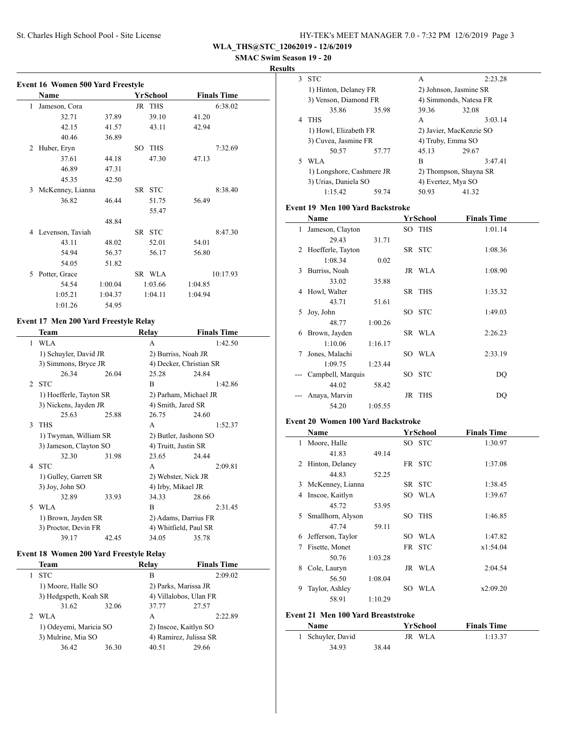| HY-TEK's MEET MANAGER 7.0 - 7:32 PM 12/6/2019 Page 3 |  |  |
|------------------------------------------------------|--|--|
|------------------------------------------------------|--|--|

**WLA\_THS@STC\_12062019 - 12/6/2019**

 **SMAC Swim Season 19 - 20**

**Results**

|   | Name               |         |     | YrSchool   |         | <b>Finals Time</b> |
|---|--------------------|---------|-----|------------|---------|--------------------|
| 1 | Jameson, Cora      |         |     | JR THS     |         | 6:38.02            |
|   | 32.71              | 37.89   |     | 39.10      | 41.20   |                    |
|   | 42.15              | 41.57   |     | 43.11      | 42.94   |                    |
|   | 40.46              | 36.89   |     |            |         |                    |
| 2 | Huber, Eryn        |         | SO. | <b>THS</b> |         | 7:32.69            |
|   | 37.61              | 44.18   |     | 47.30      | 47.13   |                    |
|   | 46.89              | 47.31   |     |            |         |                    |
|   | 45.35              | 42.50   |     |            |         |                    |
| 3 | McKenney, Lianna   |         |     | SR STC     |         | 8:38.40            |
|   | 36.82              | 46.44   |     | 51.75      | 56.49   |                    |
|   |                    |         |     | 55.47      |         |                    |
|   |                    | 48.84   |     |            |         |                    |
|   | 4 Levenson, Taviah |         |     | SR STC     |         | 8:47.30            |
|   | 43.11              | 48.02   |     | 52.01      | 54.01   |                    |
|   | 54.94              | 56.37   |     | 56.17      | 56.80   |                    |
|   | 54.05              | 51.82   |     |            |         |                    |
| 5 | Potter, Grace      |         |     | SR WLA     |         | 10:17.93           |
|   | 54.54              | 1:00.04 |     | 1:03.66    | 1:04.85 |                    |
|   | 1:05.21            | 1:04.37 |     | 1:04.11    | 1:04.94 |                    |
|   | 1:01.26            | 54.95   |     |            |         |                    |

### **Event 17 Men 200 Yard Freestyle Relay**

|                | Team                    |       | Relay                   | <b>Finals Time</b> |  |  |  |
|----------------|-------------------------|-------|-------------------------|--------------------|--|--|--|
| 1              | <b>WLA</b>              |       | A                       | 1:42.50            |  |  |  |
|                | 1) Schuyler, David JR   |       | 2) Burriss, Noah JR     |                    |  |  |  |
|                | 3) Simmons, Bryce JR    |       | 4) Decker, Christian SR |                    |  |  |  |
|                | 26.34                   | 26.04 | 25.28                   | 24.84              |  |  |  |
| $\mathfrak{D}$ | <b>STC</b>              |       | B                       | 1:42.86            |  |  |  |
|                | 1) Hoefferle, Tayton SR |       | 2) Parham, Michael JR   |                    |  |  |  |
|                | 3) Nickens, Jayden JR   |       | 4) Smith, Jared SR      |                    |  |  |  |
|                | 25.63                   | 25.88 | 26.75                   | 24.60              |  |  |  |
| 3              | <b>THS</b>              |       | A                       | 1:52.37            |  |  |  |
|                | 1) Twyman, William SR   |       | 2) Butler, Jashonn SO   |                    |  |  |  |
|                | 3) Jameson, Clayton SO  |       | 4) Truitt, Justin SR    |                    |  |  |  |
|                | 32.30                   | 31.98 | 23.65                   | 24.44              |  |  |  |
|                | 4 STC                   |       | A                       | 2:09.81            |  |  |  |
|                | 1) Gulley, Garrett SR   |       | 2) Webster, Nick JR     |                    |  |  |  |
|                | 3) Joy, John SO         |       | 4) Irby, Mikael JR      |                    |  |  |  |
|                | 32.89                   | 33.93 | 34.33                   | 28.66              |  |  |  |
| 5              | <b>WLA</b>              |       | B                       | 2:31.45            |  |  |  |
|                | 1) Brown, Jayden SR     |       | 2) Adams, Darrius FR    |                    |  |  |  |
|                | 3) Proctor, Devin FR    |       | 4) Whitfield, Paul SR   |                    |  |  |  |
|                | 39.17                   | 42.45 | 34.05                   | 35.78              |  |  |  |

## **Event 18 Women 200 Yard Freestyle Relay**

| Team                                         |       | Relay | <b>Finals Time</b> |                                                                                                   |
|----------------------------------------------|-------|-------|--------------------|---------------------------------------------------------------------------------------------------|
| <b>STC</b>                                   |       | в     | 2:09.02            |                                                                                                   |
| 1) Moore, Halle SO                           |       |       |                    |                                                                                                   |
| 3) Hedgspeth, Koah SR                        |       |       |                    |                                                                                                   |
| 31.62                                        | 32.06 | 37.77 | 27.57              |                                                                                                   |
| WLA<br>$2^{\circ}$                           |       | A     | 2:22.89            |                                                                                                   |
| 1) Odeyemi, Maricia SO<br>3) Mulrine, Mia SO |       |       |                    |                                                                                                   |
|                                              |       |       |                    |                                                                                                   |
| 36.42                                        | 36.30 | 40.51 | 29.66              |                                                                                                   |
|                                              |       |       |                    | 2) Parks, Marissa JR<br>4) Villalobos, Ulan FR<br>2) Inscoe, Kaitlyn SO<br>4) Ramirez, Julissa SR |

| 3  | <b>STC</b>                |       | A                       | 2:23.28                |  |
|----|---------------------------|-------|-------------------------|------------------------|--|
|    | 1) Hinton, Delaney FR     |       |                         | 2) Johnson, Jasmine SR |  |
|    | 3) Venson, Diamond FR     |       |                         | 4) Simmonds, Natesa FR |  |
|    | 35.86                     | 35.98 | 39.36                   | 32.08                  |  |
| 4  | <b>THS</b>                |       | A                       | 3:03.14                |  |
|    | 1) Howl, Elizabeth FR     |       | 2) Javier, MacKenzie SO |                        |  |
|    | 3) Cuvea, Jasmine FR      |       | 4) Truby, Emma SO       |                        |  |
|    | 50.57                     | 57.77 | 45.13                   | 29.67                  |  |
| 5. | WLA                       |       | B                       | 3:47.41                |  |
|    | 1) Longshore, Cashmere JR |       | 2) Thompson, Shayna SR  |                        |  |
|    | 3) Urias, Daniela SO      |       | 4) Evertez, Mya SO      |                        |  |
|    | 1:15.42                   | 59.74 | 50.93                   | 41.32                  |  |

#### **Event 19 Men 100 Yard Backstroke**

|   | Name                |         | YrSchool | <b>Finals Time</b> |
|---|---------------------|---------|----------|--------------------|
| 1 | Jameson, Clayton    |         | SO THS   | 1:01.14            |
|   | 29.43               | 31.71   |          |                    |
|   | 2 Hoefferle, Tayton |         | SR STC   | 1:08.36            |
|   | 1:08.34             | 0.02    |          |                    |
| 3 | Burriss, Noah       |         | JR WLA   | 1:08.90            |
|   | 33.02               | 35.88   |          |                    |
| 4 | Howl, Walter        |         | SR THS   | 1:35.32            |
|   | 43.71               | 51.61   |          |                    |
| 5 | Joy, John           |         | SO STC   | 1:49.03            |
|   | 48.77               | 1:00.26 |          |                    |
| 6 | Brown, Jayden       |         | SR WLA   | 2:26.23            |
|   | 1:10.06             | 1:16.17 |          |                    |
| 7 | Jones, Malachi      |         | SO WLA   | 2:33.19            |
|   | 1:09.75             | 1:23.44 |          |                    |
|   | Campbell, Marquis   |         | SO STC   | DQ                 |
|   | 44.02               | 58.42   |          |                    |
|   | Anaya, Marvin       |         | JR THS   | DQ                 |
|   | 54.20               | 1:05.55 |          |                    |

#### **Event 20 Women 100 Yard Backstroke**

 $\overline{\phantom{a}}$ 

 $\overline{\phantom{a}}$ 

|   | Name              |         |     | YrSchool   | <b>Finals Time</b> |
|---|-------------------|---------|-----|------------|--------------------|
| 1 | Moore, Halle      |         |     | SO STC     | 1:30.97            |
|   | 41.83             | 49.14   |     |            |                    |
| 2 | Hinton, Delaney   |         |     | FR STC     | 1:37.08            |
|   | 44.83             | 52.25   |     |            |                    |
| 3 | McKenney, Lianna  |         |     | SR STC     | 1:38.45            |
| 4 | Inscoe, Kaitlyn   |         |     | SO WLA     | 1:39.67            |
|   | 45.72             | 53.95   |     |            |                    |
| 5 | Smallhorn, Alyson |         | SО  | <b>THS</b> | 1:46.85            |
|   | 47.74             | 59.11   |     |            |                    |
| 6 | Jefferson, Taylor |         | SO. | <b>WLA</b> | 1:47.82            |
| 7 | Fisette, Monet    |         |     | FR STC     | x1:54.04           |
|   | 50.76             | 1:03.28 |     |            |                    |
| 8 | Cole, Lauryn      |         |     | JR WLA     | 2:04.54            |
|   | 56.50             | 1:08.04 |     |            |                    |
| 9 | Taylor, Ashley    |         | SO  | <b>WLA</b> | x2:09.20           |
|   | 58.91             | 1:10.29 |     |            |                    |
|   |                   |         |     |            |                    |

## **Event 21 Men 100 Yard Breaststroke**

| <b>Name</b>       |       | YrSchool | <b>Finals Time</b> |  |
|-------------------|-------|----------|--------------------|--|
| 1 Schuyler, David |       | JR WLA   | 1:13.37            |  |
| 34.93             | 38.44 |          |                    |  |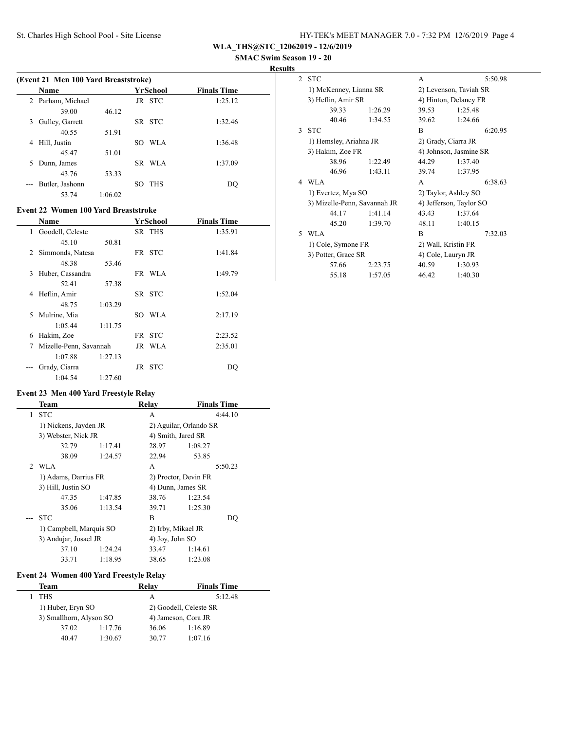| HY-TEK's MEET MANAGER 7.0 - 7:32 PM 12/6/2019 Page 4 |  |
|------------------------------------------------------|--|
|------------------------------------------------------|--|

**WLA\_THS@STC\_12062019 - 12/6/2019**

 **SMAC Swim Season 19 - 20**

**Results**

|    | (Event 21 Men 100 Yard Breaststroke) |         |                   |                    |  |  |  |
|----|--------------------------------------|---------|-------------------|--------------------|--|--|--|
|    | <b>Name</b>                          |         | YrSchool          | <b>Finals Time</b> |  |  |  |
|    | 2 Parham, Michael                    |         | JR STC            | 1:25.12            |  |  |  |
|    | 39.00                                | 46.12   |                   |                    |  |  |  |
| 3  | Gulley, Garrett                      |         | SR STC            | 1:32.46            |  |  |  |
|    | 40.55                                | 51.91   |                   |                    |  |  |  |
| 4  | Hill, Justin                         |         | WLA<br>SO.        | 1:36.48            |  |  |  |
|    | 45.47                                | 51.01   |                   |                    |  |  |  |
| 5. | Dunn, James                          |         | SR WLA            | 1:37.09            |  |  |  |
|    | 43.76                                | 53.33   |                   |                    |  |  |  |
|    | Butler, Jashonn                      |         | <b>THS</b><br>SO. | DO                 |  |  |  |
|    | 53.74                                | 1:06.02 |                   |                    |  |  |  |

### **Event 22 Women 100 Yard Breaststroke**

|   | <b>Name</b>            |         |     | YrSchool | <b>Finals Time</b> |
|---|------------------------|---------|-----|----------|--------------------|
| 1 | Goodell, Celeste       |         |     | SR THS   | 1:35.91            |
|   | 45.10                  | 50.81   |     |          |                    |
| 2 | Simmonds, Natesa       |         |     | FR STC   | 1:41.84            |
|   | 48.38                  | 53.46   |     |          |                    |
| 3 | Huber, Cassandra       |         |     | FR WLA   | 1:49.79            |
|   | 52.41                  | 57.38   |     |          |                    |
| 4 | Heflin, Amir           |         |     | SR STC   | 1:52.04            |
|   | 48.75                  | 1:03.29 |     |          |                    |
| 5 | Mulrine, Mia           |         | SO. | WLA      | 2:17.19            |
|   | 1:05.44                | 1:11.75 |     |          |                    |
| 6 | Hakim, Zoe             |         |     | FR STC   | 2:23.52            |
| 7 | Mizelle-Penn, Savannah |         |     | JR WLA   | 2:35.01            |
|   | 1:07.88                | 1:27.13 |     |          |                    |
|   | Grady, Ciarra          |         |     | JR STC   | DO                 |
|   | 1:04.54                | 1:27.60 |     |          |                    |

### **Event 23 Men 400 Yard Freestyle Relay**

| Team                                             |         | Relay                  | <b>Finals Time</b> |                    |
|--------------------------------------------------|---------|------------------------|--------------------|--------------------|
| <b>STC</b>                                       |         | A                      | 4:44.10            |                    |
| 1) Nickens, Jayden JR                            |         | 2) Aguilar, Orlando SR |                    |                    |
| 3) Webster, Nick JR                              |         | 4) Smith, Jared SR     |                    |                    |
| 32.79                                            | 1:17.41 | 28.97                  | 1:08.27            |                    |
| 38.09                                            | 1:24.57 | 22.94                  | 53.85              |                    |
|                                                  |         | A                      | 5:50.23            |                    |
| 1) Adams, Darrius FR<br>3) Hill, Justin SO       |         | 2) Proctor, Devin FR   |                    |                    |
|                                                  |         | 4) Dunn, James SR      |                    |                    |
| 47.35                                            | 1:47.85 | 38.76                  | 1:23.54            |                    |
| 35.06                                            | 1:13.54 | 39.71                  | 1:25.30            |                    |
| <b>STC</b>                                       |         | B                      | DO                 |                    |
| 1) Campbell, Marquis SO<br>3) Andujar, Josael JR |         |                        |                    |                    |
|                                                  |         | 4) Joy, John SO        |                    |                    |
| 37.10                                            | 1:24.24 | 33.47                  | 1:14.61            |                    |
| 33.71                                            | 1:18.95 | 38.65                  | 1:23.08            |                    |
|                                                  | 2 WLA   |                        |                    | 2) Irby, Mikael JR |

## **Event 24 Women 400 Yard Freestyle Relay**

 $\overline{\phantom{0}}$ 

| Team              |         | Relav                   | <b>Finals Time</b> |
|-------------------|---------|-------------------------|--------------------|
| <b>THS</b>        |         | А                       | 5:12.48            |
| 1) Huber, Eryn SO |         | 2) Goodell, Celeste SR  |                    |
|                   |         | 4) Jameson, Cora JR     |                    |
| 37.02             | 1:17.76 | 36.06                   | 1:16.89            |
| 40.47             | 1:30.67 | 30.77                   | 1:07.16            |
|                   |         | 3) Smallhorn, Alyson SO |                    |

|   | 2 STC                        |         | A                     | 5:50.98                 |  |
|---|------------------------------|---------|-----------------------|-------------------------|--|
|   | 1) McKenney, Lianna SR       |         |                       | 2) Levenson, Taviah SR  |  |
|   | 3) Heflin, Amir SR           |         | 4) Hinton, Delaney FR |                         |  |
|   | 39.33                        | 1:26.29 | 39.53                 | 1:25.48                 |  |
|   | 40.46                        | 1:34.55 | 39.62                 | 1:24.66                 |  |
|   | 3 STC                        |         | R                     | 6:20.95                 |  |
|   | 1) Hemsley, Ariahna JR       |         |                       | 2) Grady, Ciarra JR     |  |
|   | 3) Hakim, Zoe FR             |         |                       | 4) Johnson, Jasmine SR  |  |
|   | 38.96                        | 1:22.49 | 44.29                 | 1:37.40                 |  |
|   | 46.96                        | 1:43.11 | 39.74                 | 1:37.95                 |  |
|   |                              |         |                       |                         |  |
|   | 4 WLA                        |         | A                     | 6:38.63                 |  |
|   | 1) Evertez, Mya SO           |         |                       | 2) Taylor, Ashley SO    |  |
|   | 3) Mizelle-Penn, Savannah JR |         |                       | 4) Jefferson, Taylor SO |  |
|   | 44 17                        | 1:41.14 | 43.43                 | 1:37.64                 |  |
|   | 45.20                        | 1:39.70 | 48.11                 | 1:40.15                 |  |
| 5 | WLA                          |         | R                     | 7:32.03                 |  |
|   | 1) Cole, Symone FR           |         |                       | 2) Wall, Kristin FR     |  |
|   | 3) Potter, Grace SR          |         |                       | 4) Cole, Lauryn JR      |  |
|   | 57.66                        | 2:23.75 | 40.59                 | 1:30.93                 |  |